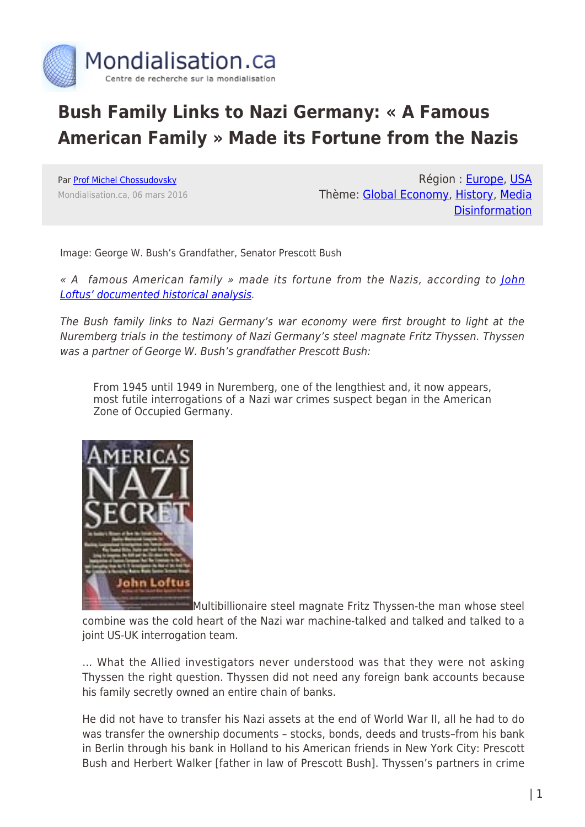

## **Bush Family Links to Nazi Germany: « A Famous American Family » Made its Fortune from the Nazis**

Par [Prof Michel Chossudovsky](https://www.mondialisation.ca/author/michel-chossudovsky) Mondialisation.ca, 06 mars 2016

Région : [Europe,](https://www.mondialisation.ca/region/europe) [USA](https://www.mondialisation.ca/region/usa) Thème: [Global Economy,](https://www.mondialisation.ca/theme/global-economy) [History](https://www.mondialisation.ca/theme/culture-society-history), [Media](https://www.mondialisation.ca/theme/media-disinformation) **[Disinformation](https://www.mondialisation.ca/theme/media-disinformation)** 

Image: George W. Bush's Grandfather, Senator Prescott Bush

« A famous American family » made its fortune from the Nazis, according to [John](http://www.globalresearch.ca/articles/LOF209A.html) [Loftus' documented historical analysis](http://www.globalresearch.ca/articles/LOF209A.html).

The Bush family links to Nazi Germany's war economy were first brought to light at the Nuremberg trials in the testimony of Nazi Germany's steel magnate Fritz Thyssen. Thyssen was a partner of George W. Bush's grandfather Prescott Bush:

From 1945 until 1949 in Nuremberg, one of the lengthiest and, it now appears, most futile interrogations of a Nazi war crimes suspect began in the American Zone of Occupied Germany.



Multibillionaire steel magnate Fritz Thyssen-the man whose steel combine was the cold heart of the Nazi war machine-talked and talked and talked to a joint US-UK interrogation team.

… What the Allied investigators never understood was that they were not asking Thyssen the right question. Thyssen did not need any foreign bank accounts because his family secretly owned an entire chain of banks.

He did not have to transfer his Nazi assets at the end of World War II, all he had to do was transfer the ownership documents – stocks, bonds, deeds and trusts–from his bank in Berlin through his bank in Holland to his American friends in New York City: Prescott Bush and Herbert Walker [father in law of Prescott Bush]. Thyssen's partners in crime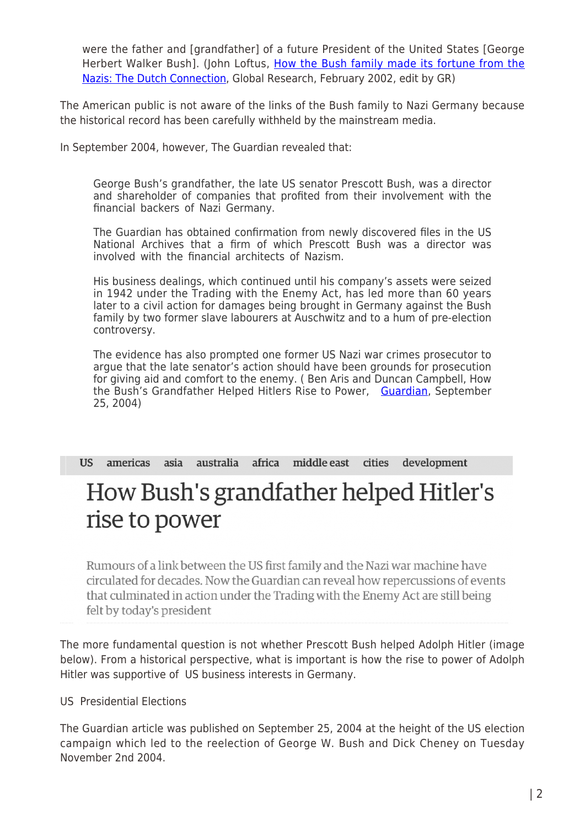were the father and [grandfather] of a future President of the United States [George Herbert Walker Bush]. (John Loftus, [How the Bush family made its fortune from the](http://www.globalresearch.ca/articles/LOF209A.html) [Nazis: The Dutch Connection](http://www.globalresearch.ca/articles/LOF209A.html), Global Research, February 2002, edit by GR)

The American public is not aware of the links of the Bush family to Nazi Germany because the historical record has been carefully withheld by the mainstream media.

In September 2004, however, The Guardian revealed that:

George Bush's grandfather, the late US senator Prescott Bush, was a director and shareholder of companies that profited from their involvement with the financial backers of Nazi Germany.

The Guardian has obtained confirmation from newly discovered files in the US National Archives that a firm of which Prescott Bush was a director was involved with the financial architects of Nazism.

His business dealings, which continued until his company's assets were seized in 1942 under the Trading with the Enemy Act, has led more than 60 years later to a civil action for damages being brought in Germany against the Bush family by two former slave labourers at Auschwitz and to a hum of pre-election controversy.

The evidence has also prompted one former US Nazi war crimes prosecutor to argue that the late senator's action should have been grounds for prosecution for giving aid and comfort to the enemy. ( Ben Aris and Duncan Campbell, How the Bush's Grandfather Helped Hitlers Rise to Power, [Guardian,](http://www.theguardian.com/world/2004/sep/25/usa.secondworldwar) September 25, 2004)

asia australia africa middle east development US americas cities

# How Bush's grandfather helped Hitler's rise to power

Rumours of a link between the US first family and the Nazi war machine have circulated for decades. Now the Guardian can reveal how repercussions of events that culminated in action under the Trading with the Enemy Act are still being felt by today's president

The more fundamental question is not whether Prescott Bush helped Adolph Hitler (image below). From a historical perspective, what is important is how the rise to power of Adolph Hitler was supportive of US business interests in Germany.

US Presidential Elections

The Guardian article was published on September 25, 2004 at the height of the US election campaign which led to the reelection of George W. Bush and Dick Cheney on Tuesday November 2nd 2004.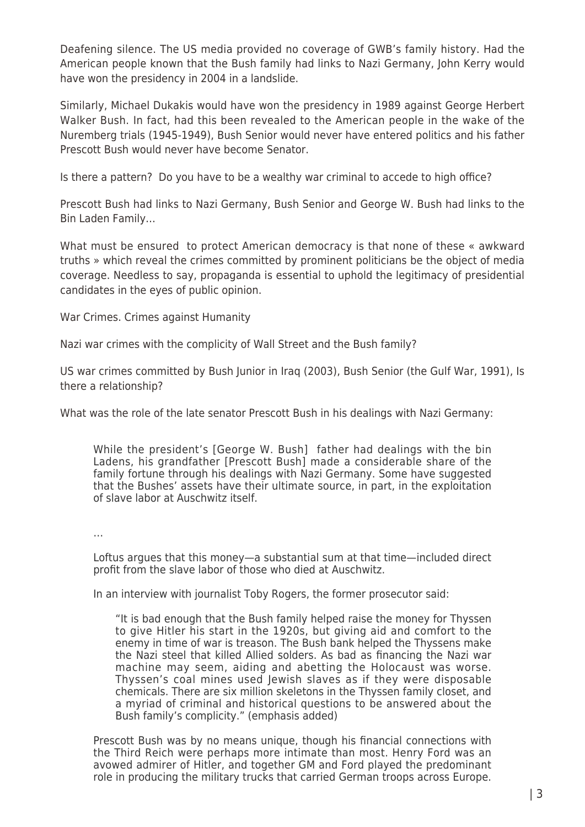Deafening silence. The US media provided no coverage of GWB's family history. Had the American people known that the Bush family had links to Nazi Germany, John Kerry would have won the presidency in 2004 in a landslide.

Similarly, Michael Dukakis would have won the presidency in 1989 against George Herbert Walker Bush. In fact, had this been revealed to the American people in the wake of the Nuremberg trials (1945-1949), Bush Senior would never have entered politics and his father Prescott Bush would never have become Senator.

Is there a pattern? Do you have to be a wealthy war criminal to accede to high office?

Prescott Bush had links to Nazi Germany, Bush Senior and George W. Bush had links to the Bin Laden Family…

What must be ensured to protect American democracy is that none of these « awkward truths » which reveal the crimes committed by prominent politicians be the object of media coverage. Needless to say, propaganda is essential to uphold the legitimacy of presidential candidates in the eyes of public opinion.

War Crimes. Crimes against Humanity

Nazi war crimes with the complicity of Wall Street and the Bush family?

US war crimes committed by Bush Junior in Iraq (2003), Bush Senior (the Gulf War, 1991), Is there a relationship?

What was the role of the late senator Prescott Bush in his dealings with Nazi Germany:

While the president's [George W. Bush] father had dealings with the bin Ladens, his grandfather [Prescott Bush] made a considerable share of the family fortune through his dealings with Nazi Germany. Some have suggested that the Bushes' assets have their ultimate source, in part, in the exploitation of slave labor at Auschwitz itself.

…

Loftus argues that this money—a substantial sum at that time—included direct profit from the slave labor of those who died at Auschwitz.

In an interview with journalist Toby Rogers, the former prosecutor said:

"It is bad enough that the Bush family helped raise the money for Thyssen to give Hitler his start in the 1920s, but giving aid and comfort to the enemy in time of war is treason. The Bush bank helped the Thyssens make the Nazi steel that killed Allied solders. As bad as financing the Nazi war machine may seem, aiding and abetting the Holocaust was worse. Thyssen's coal mines used Jewish slaves as if they were disposable chemicals. There are six million skeletons in the Thyssen family closet, and a myriad of criminal and historical questions to be answered about the Bush family's complicity." (emphasis added)

Prescott Bush was by no means unique, though his financial connections with the Third Reich were perhaps more intimate than most. Henry Ford was an avowed admirer of Hitler, and together GM and Ford played the predominant role in producing the military trucks that carried German troops across Europe.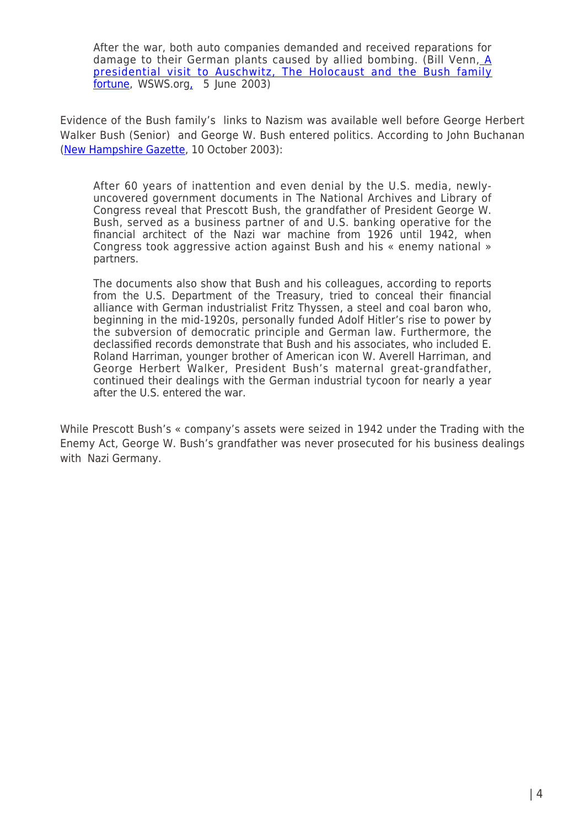After the war, both auto companies demanded and received reparations for damage to their German plants caused by allied bombing. (Bill Venn, [A](https://www.wsws.org/en/articles/2003/06/bush-j05.html) [presidential visit to Auschwitz, The Holocaust and the Bush family](https://www.wsws.org/en/articles/2003/06/bush-j05.html) [fortune,](https://www.wsws.org/en/articles/2003/06/bush-j05.html) WSWS.or[g,](https://www.wsws.org/en/articles/2003/06/bush-j05.html) 5 June 2003)

Evidence of the Bush family's links to Nazism was available well before George Herbert Walker Bush (Senior) and George W. Bush entered politics. According to John Buchanan [\(New Hampshire Gazette](http://www.rense.com/general42/bshnazi.htm), 10 October 2003):

After 60 years of inattention and even denial by the U.S. media, newlyuncovered government documents in The National Archives and Library of Congress reveal that Prescott Bush, the grandfather of President George W. Bush, served as a business partner of and U.S. banking operative for the financial architect of the Nazi war machine from 1926 until 1942, when Congress took aggressive action against Bush and his « enemy national » partners.

The documents also show that Bush and his colleagues, according to reports from the U.S. Department of the Treasury, tried to conceal their financial alliance with German industrialist Fritz Thyssen, a steel and coal baron who, beginning in the mid-1920s, personally funded Adolf Hitler's rise to power by the subversion of democratic principle and German law. Furthermore, the declassified records demonstrate that Bush and his associates, who included E. Roland Harriman, younger brother of American icon W. Averell Harriman, and George Herbert Walker, President Bush's maternal great-grandfather, continued their dealings with the German industrial tycoon for nearly a year after the U.S. entered the war.

While Prescott Bush's « company's assets were seized in 1942 under the Trading with the Enemy Act, George W. Bush's grandfather was never prosecuted for his business dealings with Nazi Germany.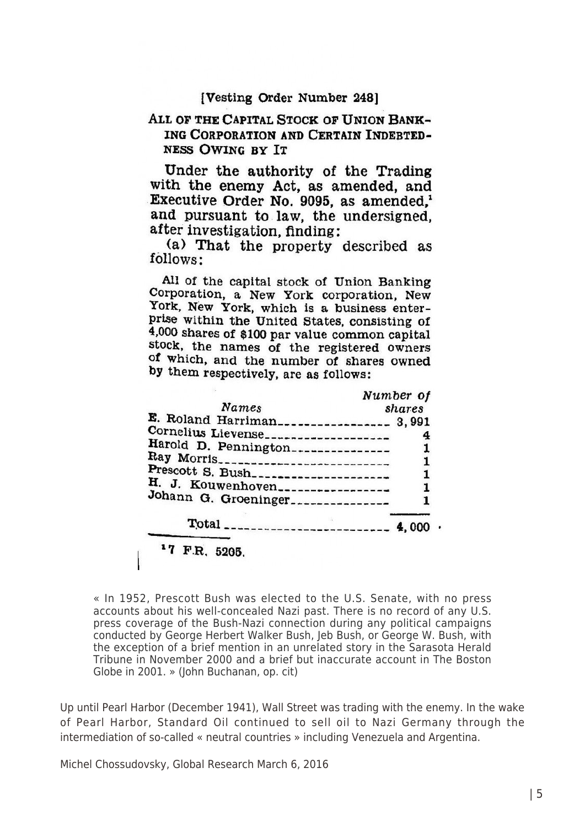#### [Vesting Order Number 248]

### ALL OF THE CAPITAL STOCK OF UNION BANK-ING CORPORATION AND CERTAIN INDEBTED-**NESS OWING BY IT**

Under the authority of the Trading with the enemy Act, as amended, and Executive Order No. 9095, as amended.<sup>1</sup> and pursuant to law, the undersigned. after investigation, finding:

(a) That the property described as follows:

All of the capital stock of Union Banking Corporation, a New York corporation, New York, New York, which is a business enterprise within the United States, consisting of 4,000 shares of \$100 par value common capital stock, the names of the registered owners of which, and the number of shares owned by them respectively, are as follows:

|                                            | Number of |
|--------------------------------------------|-----------|
| Names                                      | shares    |
| E. Roland Harriman__________________ 3,991 |           |
| Cornelius Lievense___________________      |           |
| Harold D. Pennington---------------        |           |
|                                            |           |
| Prescott S. Bush_____________________      |           |
| H. J. Kouwenhoven                          | 1         |
| Johann G. Groeninger______________         |           |
|                                            |           |
| <sup>1</sup> 7 F.R. 5205.                  |           |

« In 1952, Prescott Bush was elected to the U.S. Senate, with no press accounts about his well-concealed Nazi past. There is no record of any U.S. press coverage of the Bush-Nazi connection during any political campaigns conducted by George Herbert Walker Bush, Jeb Bush, or George W. Bush, with the exception of a brief mention in an unrelated story in the Sarasota Herald Tribune in November 2000 and a brief but inaccurate account in The Boston Globe in 2001. » (John Buchanan, op. cit)

Up until Pearl Harbor (December 1941), Wall Street was trading with the enemy. In the wake of Pearl Harbor, Standard Oil continued to sell oil to Nazi Germany through the intermediation of so-called « neutral countries » including Venezuela and Argentina.

Michel Chossudovsky, Global Research March 6, 2016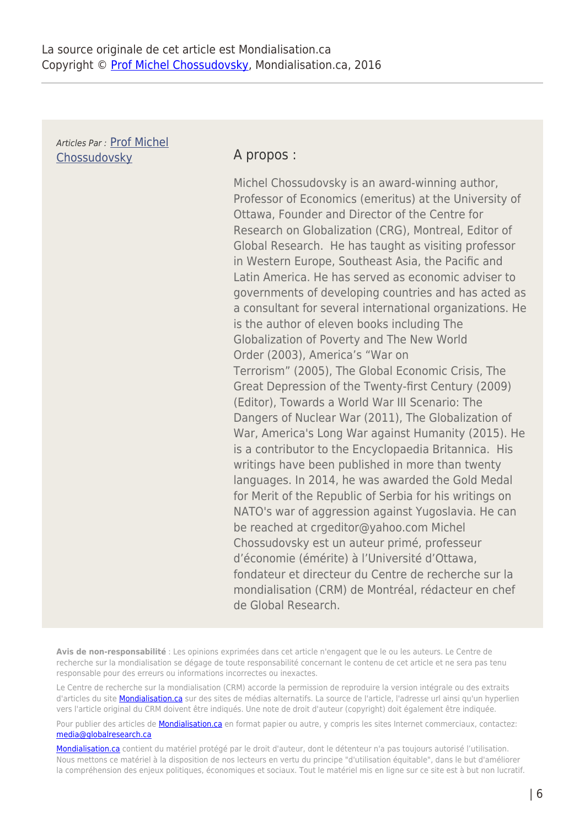Articles Par : [Prof Michel](https://www.mondialisation.ca/author/michel-chossudovsky) [Chossudovsky](https://www.mondialisation.ca/author/michel-chossudovsky) **A propos :** 

Michel Chossudovsky is an award-winning author, Professor of Economics (emeritus) at the University of Ottawa, Founder and Director of the Centre for Research on Globalization (CRG), Montreal, Editor of Global Research. He has taught as visiting professor in Western Europe, Southeast Asia, the Pacific and Latin America. He has served as economic adviser to governments of developing countries and has acted as a consultant for several international organizations. He is the author of eleven books including The Globalization of Poverty and The New World Order (2003), America's "War on Terrorism" (2005), The Global Economic Crisis, The Great Depression of the Twenty-first Century (2009) (Editor), Towards a World War III Scenario: The Dangers of Nuclear War (2011), The Globalization of War, America's Long War against Humanity (2015). He is a contributor to the Encyclopaedia Britannica. His writings have been published in more than twenty languages. In 2014, he was awarded the Gold Medal for Merit of the Republic of Serbia for his writings on NATO's war of aggression against Yugoslavia. He can be reached at crgeditor@yahoo.com Michel Chossudovsky est un auteur primé, professeur d'économie (émérite) à l'Université d'Ottawa, fondateur et directeur du Centre de recherche sur la mondialisation (CRM) de Montréal, rédacteur en chef de Global Research.

**Avis de non-responsabilité** : Les opinions exprimées dans cet article n'engagent que le ou les auteurs. Le Centre de recherche sur la mondialisation se dégage de toute responsabilité concernant le contenu de cet article et ne sera pas tenu responsable pour des erreurs ou informations incorrectes ou inexactes.

Le Centre de recherche sur la mondialisation (CRM) accorde la permission de reproduire la version intégrale ou des extraits d'articles du site **Mondialisation.ca** sur des sites de médias alternatifs. La source de l'article, l'adresse url ainsi qu'un hyperlien vers l'article original du CRM doivent être indiqués. Une note de droit d'auteur (copyright) doit également être indiquée.

Pour publier des articles de **[Mondialisation.ca](https://mondialisation.ca)** en format papier ou autre, y compris les sites Internet commerciaux, contactez: [media@globalresearch.ca](mailto:media@globalresearch.ca)

[Mondialisation.ca](https://mondialisation.ca) contient du matériel protégé par le droit d'auteur, dont le détenteur n'a pas toujours autorisé l'utilisation. Nous mettons ce matériel à la disposition de nos lecteurs en vertu du principe "d'utilisation équitable", dans le but d'améliorer la compréhension des enjeux politiques, économiques et sociaux. Tout le matériel mis en ligne sur ce site est à but non lucratif.